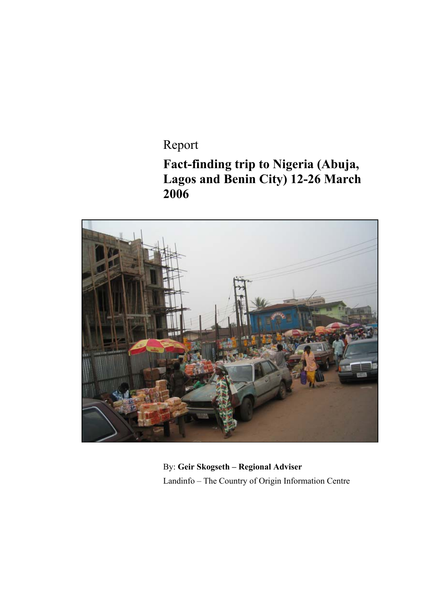Report

**Fact-finding trip to Nigeria (Abuja, Lagos and Benin City) 12-26 March 2006** 



By: **Geir Skogseth – Regional Adviser**  Landinfo – The Country of Origin Information Centre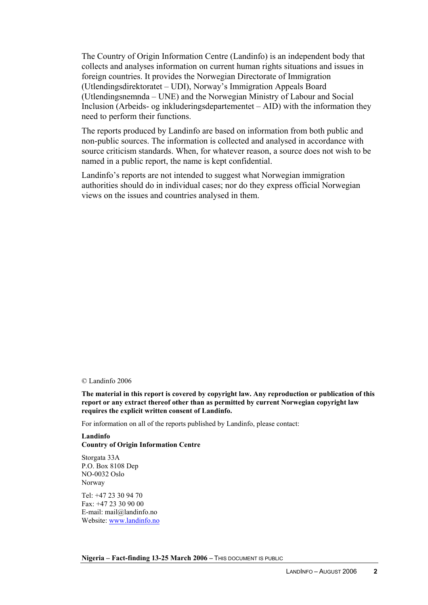The Country of Origin Information Centre (Landinfo) is an independent body that collects and analyses information on current human rights situations and issues in foreign countries. It provides the Norwegian Directorate of Immigration (Utlendingsdirektoratet – UDI), Norway's Immigration Appeals Board (Utlendingsnemnda – UNE) and the Norwegian Ministry of Labour and Social Inclusion (Arbeids- og inkluderingsdepartementet – AID) with the information they need to perform their functions.

The reports produced by Landinfo are based on information from both public and non-public sources. The information is collected and analysed in accordance with source criticism standards. When, for whatever reason, a source does not wish to be named in a public report, the name is kept confidential.

Landinfo's reports are not intended to suggest what Norwegian immigration authorities should do in individual cases; nor do they express official Norwegian views on the issues and countries analysed in them.

#### © Landinfo 2006

**The material in this report is covered by copyright law. Any reproduction or publication of this report or any extract thereof other than as permitted by current Norwegian copyright law requires the explicit written consent of Landinfo.** 

For information on all of the reports published by Landinfo, please contact:

#### **Landinfo Country of Origin Information Centre**

Storgata 33A P.O. Box 8108 Dep NO-0032 Oslo Norway

Tel: +47 23 30 94 70 Fax: +47 23 30 90 00 E-mail: mail@landinfo.no Website: www.landinfo.no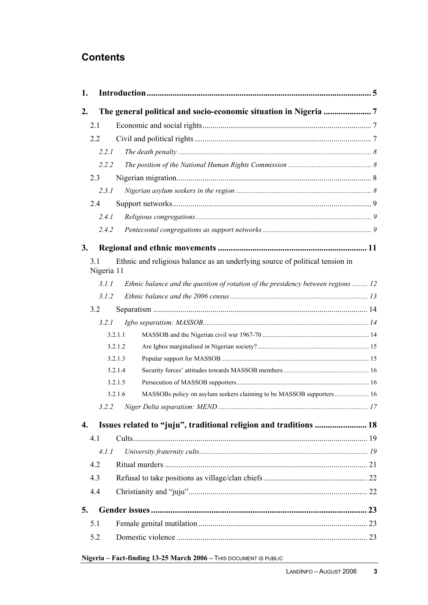## **Contents**

| 1. |                   |                                                                                   |  |
|----|-------------------|-----------------------------------------------------------------------------------|--|
| 2. |                   |                                                                                   |  |
|    | 2.1               |                                                                                   |  |
|    | 2.2               |                                                                                   |  |
|    | 2.2.1             |                                                                                   |  |
|    | 2.2.2             |                                                                                   |  |
|    | 2.3               |                                                                                   |  |
|    | 2.3.1             |                                                                                   |  |
|    | 2.4               |                                                                                   |  |
|    | 2.4.1             |                                                                                   |  |
|    | 2.4.2             |                                                                                   |  |
| 3. |                   |                                                                                   |  |
|    | 3.1<br>Nigeria 11 | Ethnic and religious balance as an underlying source of political tension in      |  |
|    | 3.1.1             | Ethnic balance and the question of rotation of the presidency between regions  12 |  |
|    | 3.1.2             |                                                                                   |  |
|    | 3.2               |                                                                                   |  |
|    | 3.2.1             |                                                                                   |  |
|    | 3.2.1.1           |                                                                                   |  |
|    | 3.2.1.2           |                                                                                   |  |
|    | 3.2.1.3           |                                                                                   |  |
|    | 3.2.1.4           |                                                                                   |  |
|    | 3.2.1.5           |                                                                                   |  |
|    | 3.2.1.6           | MASSOBs policy on asylum seekers claiming to be MASSOB supporters 16              |  |
|    | 3.2.2             |                                                                                   |  |
| 4. |                   | Issues related to "juju", traditional religion and traditions  18                 |  |
|    | 4.1               |                                                                                   |  |
|    | 4.1.1             |                                                                                   |  |
|    | 4.2               |                                                                                   |  |
|    | 4.3               |                                                                                   |  |
|    | 4.4               |                                                                                   |  |
| 5. |                   |                                                                                   |  |
|    | 5.1               |                                                                                   |  |
|    | 5.2               |                                                                                   |  |
|    |                   |                                                                                   |  |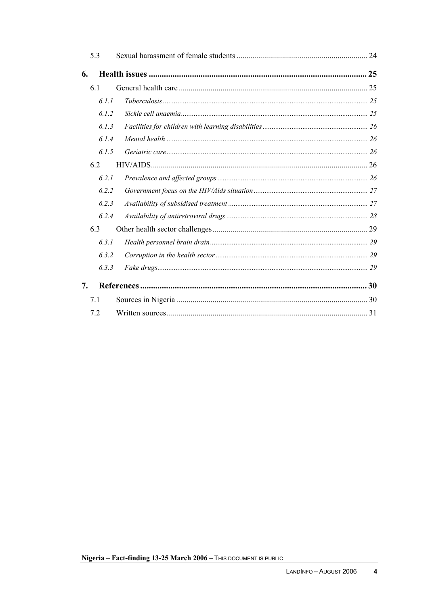| 5.3   |  |
|-------|--|
| 6.    |  |
| 6.1   |  |
| 6.1.1 |  |
| 6.1.2 |  |
| 6.1.3 |  |
| 6.1.4 |  |
| 6.1.5 |  |
| 6.2   |  |
| 6.2.1 |  |
| 6.2.2 |  |
| 6.2.3 |  |
| 6.2.4 |  |
| 6.3   |  |
| 6.3.1 |  |
| 6.3.2 |  |
| 6.3.3 |  |
| 7.    |  |
| 7.1   |  |
| 7.2   |  |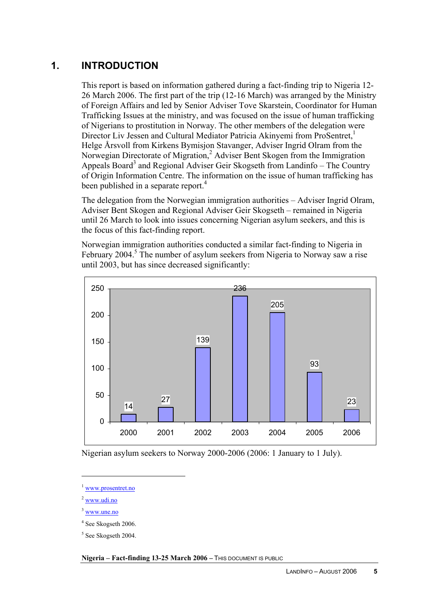## **1. INTRODUCTION**

This report is based on information gathered during a fact-finding trip to Nigeria 12- 26 March 2006. The first part of the trip (12-16 March) was arranged by the Ministry of Foreign Affairs and led by Senior Adviser Tove Skarstein, Coordinator for Human Trafficking Issues at the ministry, and was focused on the issue of human trafficking of Nigerians to prostitution in Norway. The other members of the delegation were Director Liv Jessen and Cultural Mediator Patricia Akinyemi from ProSentret.<sup>1</sup> Helge Årsvoll from Kirkens Bymisjon Stavanger, Adviser Ingrid Olram from the Norwegian Directorate of Migration,<sup>2</sup> Adviser Bent Skogen from the Immigration Appeals Board<sup>3</sup> and Regional Adviser Geir Skogseth from Landinfo - The Country of Origin Information Centre. The information on the issue of human trafficking has been published in a separate report.<sup>4</sup>

The delegation from the Norwegian immigration authorities – Adviser Ingrid Olram, Adviser Bent Skogen and Regional Adviser Geir Skogseth – remained in Nigeria until 26 March to look into issues concerning Nigerian asylum seekers, and this is the focus of this fact-finding report.

Norwegian immigration authorities conducted a similar fact-finding to Nigeria in February 2004.<sup>5</sup> The number of asylum seekers from Nigeria to Norway saw a rise until 2003, but has since decreased significantly:





<sup>1</sup> www.prosentret.no

 $\overline{a}$ 

 $2$  www.udi.no

<sup>3</sup> www.une.no

<sup>4</sup> See Skogseth 2006.

<sup>5</sup> See Skogseth 2004.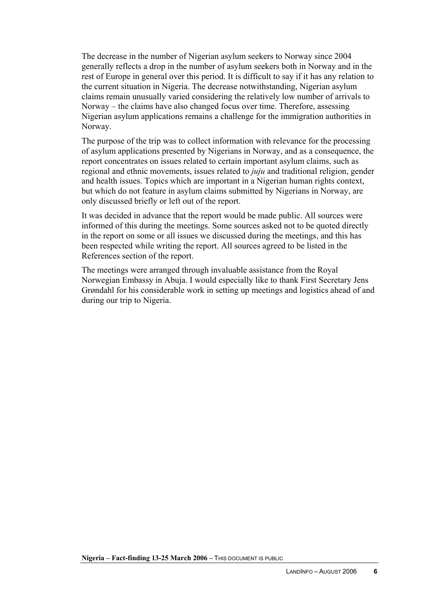The decrease in the number of Nigerian asylum seekers to Norway since 2004 generally reflects a drop in the number of asylum seekers both in Norway and in the rest of Europe in general over this period. It is difficult to say if it has any relation to the current situation in Nigeria. The decrease notwithstanding, Nigerian asylum claims remain unusually varied considering the relatively low number of arrivals to Norway – the claims have also changed focus over time. Therefore, assessing Nigerian asylum applications remains a challenge for the immigration authorities in Norway.

The purpose of the trip was to collect information with relevance for the processing of asylum applications presented by Nigerians in Norway, and as a consequence, the report concentrates on issues related to certain important asylum claims, such as regional and ethnic movements, issues related to *juju* and traditional religion, gender and health issues. Topics which are important in a Nigerian human rights context, but which do not feature in asylum claims submitted by Nigerians in Norway, are only discussed briefly or left out of the report.

It was decided in advance that the report would be made public. All sources were informed of this during the meetings. Some sources asked not to be quoted directly in the report on some or all issues we discussed during the meetings, and this has been respected while writing the report. All sources agreed to be listed in the References section of the report.

The meetings were arranged through invaluable assistance from the Royal Norwegian Embassy in Abuja. I would especially like to thank First Secretary Jens Grøndahl for his considerable work in setting up meetings and logistics ahead of and during our trip to Nigeria.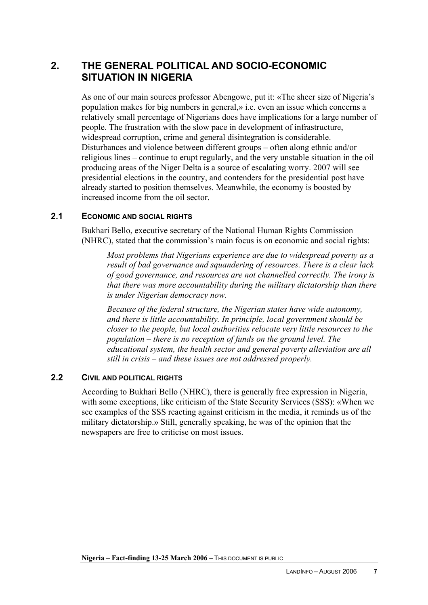## **2. THE GENERAL POLITICAL AND SOCIO-ECONOMIC SITUATION IN NIGERIA**

As one of our main sources professor Abengowe, put it: «The sheer size of Nigeria's population makes for big numbers in general,» i.e. even an issue which concerns a relatively small percentage of Nigerians does have implications for a large number of people. The frustration with the slow pace in development of infrastructure, widespread corruption, crime and general disintegration is considerable. Disturbances and violence between different groups – often along ethnic and/or religious lines – continue to erupt regularly, and the very unstable situation in the oil producing areas of the Niger Delta is a source of escalating worry. 2007 will see presidential elections in the country, and contenders for the presidential post have already started to position themselves. Meanwhile, the economy is boosted by increased income from the oil sector.

### **2.1 ECONOMIC AND SOCIAL RIGHTS**

Bukhari Bello, executive secretary of the National Human Rights Commission (NHRC), stated that the commission's main focus is on economic and social rights:

*Most problems that Nigerians experience are due to widespread poverty as a result of bad governance and squandering of resources. There is a clear lack of good governance, and resources are not channelled correctly. The irony is that there was more accountability during the military dictatorship than there is under Nigerian democracy now.* 

*Because of the federal structure, the Nigerian states have wide autonomy, and there is little accountability. In principle, local government should be closer to the people, but local authorities relocate very little resources to the population – there is no reception of funds on the ground level. The educational system, the health sector and general poverty alleviation are all still in crisis – and these issues are not addressed properly.* 

### **2.2 CIVIL AND POLITICAL RIGHTS**

According to Bukhari Bello (NHRC), there is generally free expression in Nigeria, with some exceptions, like criticism of the State Security Services (SSS): «When we see examples of the SSS reacting against criticism in the media, it reminds us of the military dictatorship.» Still, generally speaking, he was of the opinion that the newspapers are free to criticise on most issues.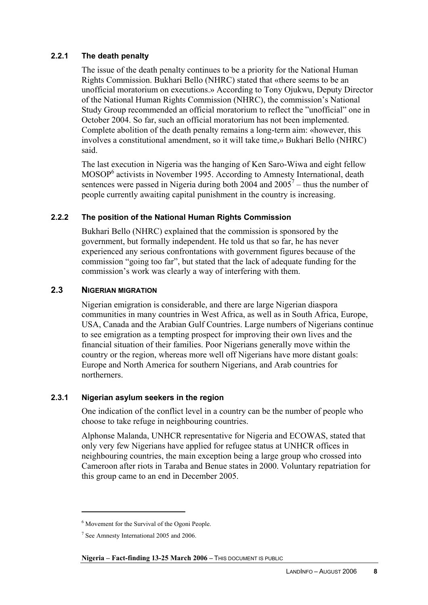### **2.2.1 The death penalty**

The issue of the death penalty continues to be a priority for the National Human Rights Commission. Bukhari Bello (NHRC) stated that «there seems to be an unofficial moratorium on executions.» According to Tony Ojukwu, Deputy Director of the National Human Rights Commission (NHRC), the commission's National Study Group recommended an official moratorium to reflect the "unofficial" one in October 2004. So far, such an official moratorium has not been implemented. Complete abolition of the death penalty remains a long-term aim: «however, this involves a constitutional amendment, so it will take time,» Bukhari Bello (NHRC) said.

The last execution in Nigeria was the hanging of Ken Saro-Wiwa and eight fellow MOSOP<sup>6</sup> activists in November 1995. According to Amnesty International, death sentences were passed in Nigeria during both  $2004$  and  $2005^7$  – thus the number of people currently awaiting capital punishment in the country is increasing.

## **2.2.2 The position of the National Human Rights Commission**

Bukhari Bello (NHRC) explained that the commission is sponsored by the government, but formally independent. He told us that so far, he has never experienced any serious confrontations with government figures because of the commission "going too far", but stated that the lack of adequate funding for the commission's work was clearly a way of interfering with them.

### **2.3 NIGERIAN MIGRATION**

Nigerian emigration is considerable, and there are large Nigerian diaspora communities in many countries in West Africa, as well as in South Africa, Europe, USA, Canada and the Arabian Gulf Countries. Large numbers of Nigerians continue to see emigration as a tempting prospect for improving their own lives and the financial situation of their families. Poor Nigerians generally move within the country or the region, whereas more well off Nigerians have more distant goals: Europe and North America for southern Nigerians, and Arab countries for northerners.

### **2.3.1 Nigerian asylum seekers in the region**

One indication of the conflict level in a country can be the number of people who choose to take refuge in neighbouring countries.

Alphonse Malanda, UNHCR representative for Nigeria and ECOWAS, stated that only very few Nigerians have applied for refugee status at UNHCR offices in neighbouring countries, the main exception being a large group who crossed into Cameroon after riots in Taraba and Benue states in 2000. Voluntary repatriation for this group came to an end in December 2005.

<sup>&</sup>lt;sup>6</sup> Movement for the Survival of the Ogoni People.

<sup>7</sup> See Amnesty International 2005 and 2006.

**Nigeria – Fact-finding 13-25 March 2006** – THIS DOCUMENT IS PUBLIC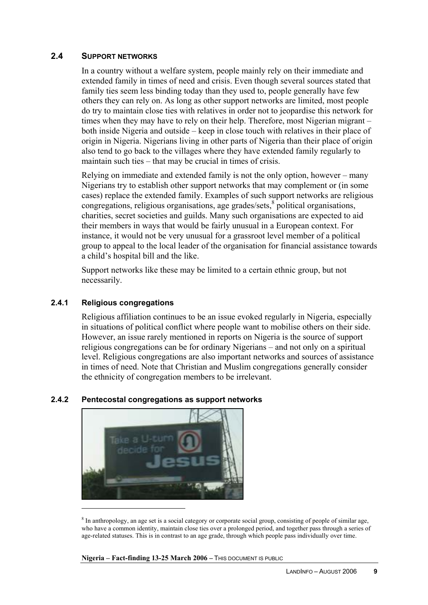#### **2.4 SUPPORT NETWORKS**

In a country without a welfare system, people mainly rely on their immediate and extended family in times of need and crisis. Even though several sources stated that family ties seem less binding today than they used to, people generally have few others they can rely on. As long as other support networks are limited, most people do try to maintain close ties with relatives in order not to jeopardise this network for times when they may have to rely on their help. Therefore, most Nigerian migrant – both inside Nigeria and outside – keep in close touch with relatives in their place of origin in Nigeria. Nigerians living in other parts of Nigeria than their place of origin also tend to go back to the villages where they have extended family regularly to maintain such ties – that may be crucial in times of crisis.

Relying on immediate and extended family is not the only option, however – many Nigerians try to establish other support networks that may complement or (in some cases) replace the extended family. Examples of such support networks are religious  $congregation$ s, religious organisations, age grades/sets, $\frac{8}{3}$  political organisations, charities, secret societies and guilds. Many such organisations are expected to aid their members in ways that would be fairly unusual in a European context. For instance, it would not be very unusual for a grassroot level member of a political group to appeal to the local leader of the organisation for financial assistance towards a child's hospital bill and the like.

Support networks like these may be limited to a certain ethnic group, but not necessarily.

#### **2.4.1 Religious congregations**

 $\overline{a}$ 

Religious affiliation continues to be an issue evoked regularly in Nigeria, especially in situations of political conflict where people want to mobilise others on their side. However, an issue rarely mentioned in reports on Nigeria is the source of support religious congregations can be for ordinary Nigerians – and not only on a spiritual level. Religious congregations are also important networks and sources of assistance in times of need. Note that Christian and Muslim congregations generally consider the ethnicity of congregation members to be irrelevant.

### **2.4.2 Pentecostal congregations as support networks**



<sup>8</sup> In anthropology, an age set is a social category or corporate social group, consisting of people of similar age, who have a common identity, maintain close ties over a prolonged period, and together pass through a series of age-related statuses. This is in contrast to an age grade, through which people pass individually over time.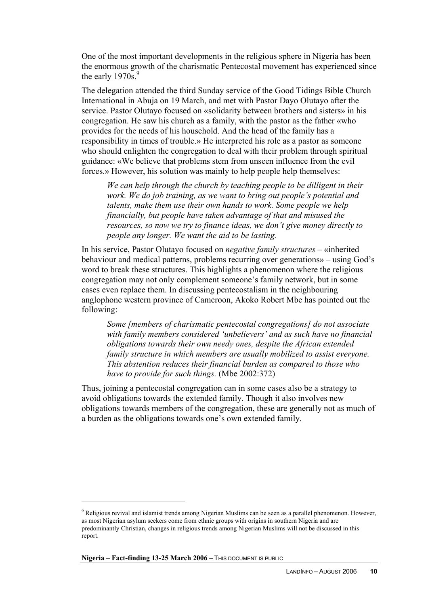One of the most important developments in the religious sphere in Nigeria has been the enormous growth of the charismatic Pentecostal movement has experienced since the early  $1970s.<sup>9</sup>$ 

The delegation attended the third Sunday service of the Good Tidings Bible Church International in Abuja on 19 March, and met with Pastor Dayo Olutayo after the service. Pastor Olutayo focused on «solidarity between brothers and sisters» in his congregation. He saw his church as a family, with the pastor as the father «who provides for the needs of his household. And the head of the family has a responsibility in times of trouble.» He interpreted his role as a pastor as someone who should enlighten the congregation to deal with their problem through spiritual guidance: «We believe that problems stem from unseen influence from the evil forces.» However, his solution was mainly to help people help themselves:

*We can help through the church by teaching people to be dilligent in their work. We do job training, as we want to bring out people's potential and talents, make them use their own hands to work. Some people we help financially, but people have taken advantage of that and misused the resources, so now we try to finance ideas, we don't give money directly to people any longer. We want the aid to be lasting.* 

In his service, Pastor Olutayo focused on *negative family structures* – «inherited behaviour and medical patterns, problems recurring over generations» – using God's word to break these structures. This highlights a phenomenon where the religious congregation may not only complement someone's family network, but in some cases even replace them. In discussing pentecostalism in the neighbouring anglophone western province of Cameroon, Akoko Robert Mbe has pointed out the following:

*Some [members of charismatic pentecostal congregations] do not associate with family members considered 'unbelievers' and as such have no financial obligations towards their own needy ones, despite the African extended family structure in which members are usually mobilized to assist everyone. This abstention reduces their financial burden as compared to those who have to provide for such things.* (Mbe 2002:372)

Thus, joining a pentecostal congregation can in some cases also be a strategy to avoid obligations towards the extended family. Though it also involves new obligations towards members of the congregation, these are generally not as much of a burden as the obligations towards one's own extended family.

**Nigeria – Fact-finding 13-25 March 2006** – THIS DOCUMENT IS PUBLIC

<sup>&</sup>lt;sup>9</sup> Religious revival and islamist trends among Nigerian Muslims can be seen as a parallel phenomenon. However, as most Nigerian asylum seekers come from ethnic groups with origins in southern Nigeria and are predominantly Christian, changes in religious trends among Nigerian Muslims will not be discussed in this report.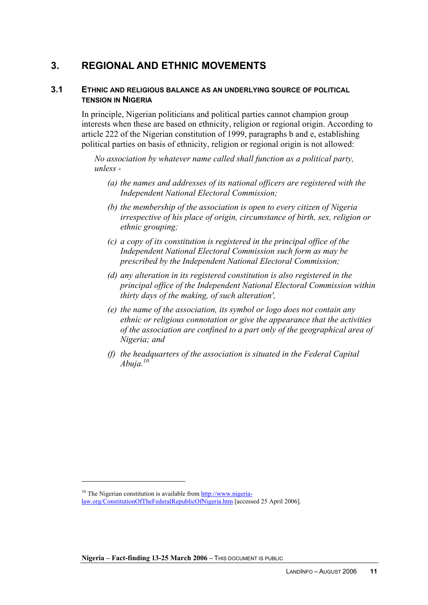## **3. REGIONAL AND ETHNIC MOVEMENTS**

#### **3.1 ETHNIC AND RELIGIOUS BALANCE AS AN UNDERLYING SOURCE OF POLITICAL TENSION IN NIGERIA**

In principle, Nigerian politicians and political parties cannot champion group interests when these are based on ethnicity, religion or regional origin. According to article 222 of the Nigerian constitution of 1999, paragraphs b and e, establishing political parties on basis of ethnicity, religion or regional origin is not allowed:

*No association by whatever name called shall function as a political party, unless -* 

- *(a) the names and addresses of its national officers are registered with the Independent National Electoral Commission;*
- *(b) the membership of the association is open to every citizen of Nigeria irrespective of his place of origin, circumstance of birth, sex, religion or ethnic grouping;*
- *(c) a copy of its constitution is registered in the principal office of the Independent National Electoral Commission such form as may be prescribed by the Independent National Electoral Commission;*
- *(d) any alteration in its registered constitution is also registered in the principal office of the Independent National Electoral Commission within thirty days of the making, of such alteration',*
- *(e) the name of the association, its symbol or logo does not contain any ethnic or religious connotation or give the appearance that the activities of the association are confined to a part only of the geographical area of Nigeria; and*
- *(f) the headquarters of the association is situated in the Federal Capital Abuja.<sup>10</sup>*

 $\overline{a}$ 

 $10$  The Nigerian constitution is available from http://www.nigeria-

law.org/ConstitutionOfTheFederalRepublicOfNigeria.htm [accessed 25 April 2006].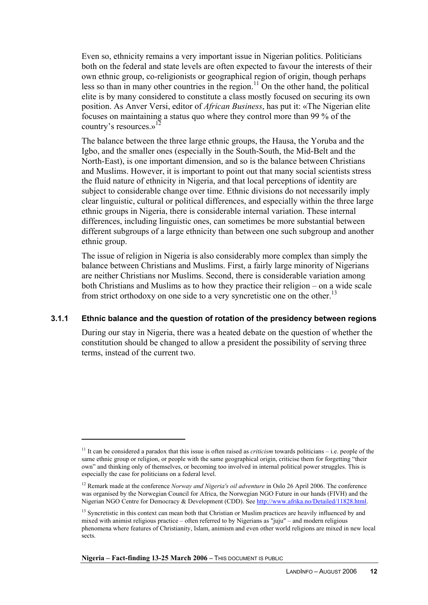Even so, ethnicity remains a very important issue in Nigerian politics. Politicians both on the federal and state levels are often expected to favour the interests of their own ethnic group, co-religionists or geographical region of origin, though perhaps less so than in many other countries in the region.<sup>11</sup> On the other hand, the political elite is by many considered to constitute a class mostly focused on securing its own position. As Anver Versi, editor of *African Business*, has put it: «The Nigerian elite focuses on maintaining a status quo where they control more than 99 % of the country's resources.»<sup>12</sup>

The balance between the three large ethnic groups, the Hausa, the Yoruba and the Igbo, and the smaller ones (especially in the South-South, the Mid-Belt and the North-East), is one important dimension, and so is the balance between Christians and Muslims. However, it is important to point out that many social scientists stress the fluid nature of ethnicity in Nigeria, and that local perceptions of identity are subject to considerable change over time. Ethnic divisions do not necessarily imply clear linguistic, cultural or political differences, and especially within the three large ethnic groups in Nigeria, there is considerable internal variation. These internal differences, including linguistic ones, can sometimes be more substantial between different subgroups of a large ethnicity than between one such subgroup and another ethnic group.

The issue of religion in Nigeria is also considerably more complex than simply the balance between Christians and Muslims. First, a fairly large minority of Nigerians are neither Christians nor Muslims. Second, there is considerable variation among both Christians and Muslims as to how they practice their religion – on a wide scale from strict orthodoxy on one side to a very syncretistic one on the other.<sup>13</sup>

#### **3.1.1 Ethnic balance and the question of rotation of the presidency between regions**

During our stay in Nigeria, there was a heated debate on the question of whether the constitution should be changed to allow a president the possibility of serving three terms, instead of the current two.

**Nigeria – Fact-finding 13-25 March 2006** – THIS DOCUMENT IS PUBLIC

<sup>&</sup>lt;sup>11</sup> It can be considered a paradox that this issue is often raised as *criticism* towards politicians – i.e. people of the same ethnic group or religion, or people with the same geographical origin, criticise them for forgetting "their own" and thinking only of themselves, or becoming too involved in internal political power struggles. This is especially the case for politicians on a federal level.

<sup>12</sup> Remark made at the conference *Norway and Nigeria's oil adventure* in Oslo 26 April 2006. The conference was organised by the Norwegian Council for Africa, the Norwegian NGO Future in our hands (FIVH) and the Nigerian NGO Centre for Democracy & Development (CDD). See http://www.afrika.no/Detailed/11828.html.

<sup>&</sup>lt;sup>13</sup> Syncretistic in this context can mean both that Christian or Muslim practices are heavily influenced by and mixed with animist religious practice – often referred to by Nigerians as "juju" – and modern religious phenomena where features of Christianity, Islam, animism and even other world religions are mixed in new local sects.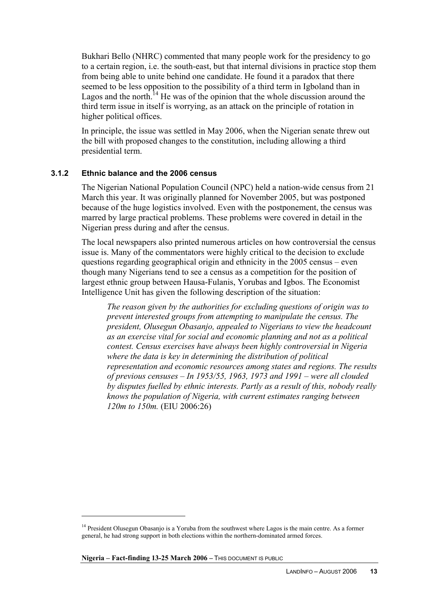Bukhari Bello (NHRC) commented that many people work for the presidency to go to a certain region, i.e. the south-east, but that internal divisions in practice stop them from being able to unite behind one candidate. He found it a paradox that there seemed to be less opposition to the possibility of a third term in Igboland than in Lagos and the north.<sup>14</sup> He was of the opinion that the whole discussion around the third term issue in itself is worrying, as an attack on the principle of rotation in higher political offices.

In principle, the issue was settled in May 2006, when the Nigerian senate threw out the bill with proposed changes to the constitution, including allowing a third presidential term.

### **3.1.2 Ethnic balance and the 2006 census**

The Nigerian National Population Council (NPC) held a nation-wide census from 21 March this year. It was originally planned for November 2005, but was postponed because of the huge logistics involved. Even with the postponement, the census was marred by large practical problems. These problems were covered in detail in the Nigerian press during and after the census.

The local newspapers also printed numerous articles on how controversial the census issue is. Many of the commentators were highly critical to the decision to exclude questions regarding geographical origin and ethnicity in the 2005 census – even though many Nigerians tend to see a census as a competition for the position of largest ethnic group between Hausa-Fulanis, Yorubas and Igbos. The Economist Intelligence Unit has given the following description of the situation:

*The reason given by the authorities for excluding questions of origin was to prevent interested groups from attempting to manipulate the census. The president, Olusegun Obasanjo, appealed to Nigerians to view the headcount as an exercise vital for social and economic planning and not as a political contest. Census exercises have always been highly controversial in Nigeria where the data is key in determining the distribution of political representation and economic resources among states and regions. The results of previous censuses – In 1953/55, 1963, 1973 and 1991 – were all clouded by disputes fuelled by ethnic interests. Partly as a result of this, nobody really knows the population of Nigeria, with current estimates ranging between 120m to 150m.* (EIU 2006:26)

**Nigeria – Fact-finding 13-25 March 2006** – THIS DOCUMENT IS PUBLIC

<sup>&</sup>lt;sup>14</sup> President Olusegun Obasanjo is a Yoruba from the southwest where Lagos is the main centre. As a former general, he had strong support in both elections within the northern-dominated armed forces.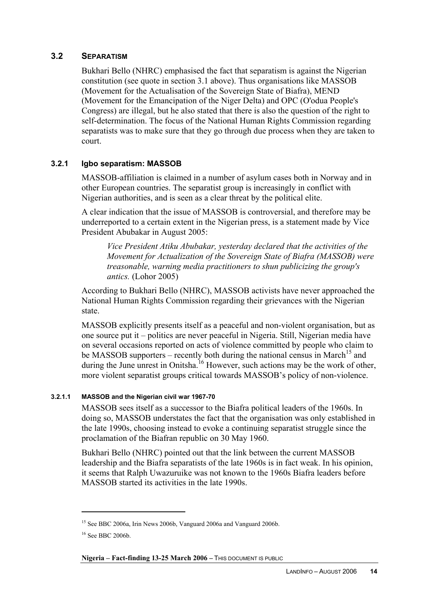### **3.2 SEPARATISM**

Bukhari Bello (NHRC) emphasised the fact that separatism is against the Nigerian constitution (see quote in section 3.1 above). Thus organisations like MASSOB (Movement for the Actualisation of the Sovereign State of Biafra), MEND (Movement for the Emancipation of the Niger Delta) and OPC (O'odua People's Congress) are illegal, but he also stated that there is also the question of the right to self-determination. The focus of the National Human Rights Commission regarding separatists was to make sure that they go through due process when they are taken to court.

### **3.2.1 Igbo separatism: MASSOB**

MASSOB-affiliation is claimed in a number of asylum cases both in Norway and in other European countries. The separatist group is increasingly in conflict with Nigerian authorities, and is seen as a clear threat by the political elite.

A clear indication that the issue of MASSOB is controversial, and therefore may be underreported to a certain extent in the Nigerian press, is a statement made by Vice President Abubakar in August 2005:

*Vice President Atiku Abubakar, yesterday declared that the activities of the Movement for Actualization of the Sovereign State of Biafra (MASSOB) were treasonable, warning media practitioners to shun publicizing the group's antics.* (Lohor 2005)

According to Bukhari Bello (NHRC), MASSOB activists have never approached the National Human Rights Commission regarding their grievances with the Nigerian state.

MASSOB explicitly presents itself as a peaceful and non-violent organisation, but as one source put it – politics are never peaceful in Nigeria. Still, Nigerian media have on several occasions reported on acts of violence committed by people who claim to be MASSOB supporters – recently both during the national census in March<sup>15</sup> and during the June unrest in Onitsha.<sup>16</sup> However, such actions may be the work of other, more violent separatist groups critical towards MASSOB's policy of non-violence.

#### **3.2.1.1 MASSOB and the Nigerian civil war 1967-70**

MASSOB sees itself as a successor to the Biafra political leaders of the 1960s. In doing so, MASSOB understates the fact that the organisation was only established in the late 1990s, choosing instead to evoke a continuing separatist struggle since the proclamation of the Biafran republic on 30 May 1960.

Bukhari Bello (NHRC) pointed out that the link between the current MASSOB leadership and the Biafra separatists of the late 1960s is in fact weak. In his opinion, it seems that Ralph Uwazuruike was not known to the 1960s Biafra leaders before MASSOB started its activities in the late 1990s.

<sup>&</sup>lt;sup>15</sup> See BBC 2006a, Irin News 2006b, Vanguard 2006a and Vanguard 2006b.

<sup>&</sup>lt;sup>16</sup> See BBC 2006b.

**Nigeria – Fact-finding 13-25 March 2006** – THIS DOCUMENT IS PUBLIC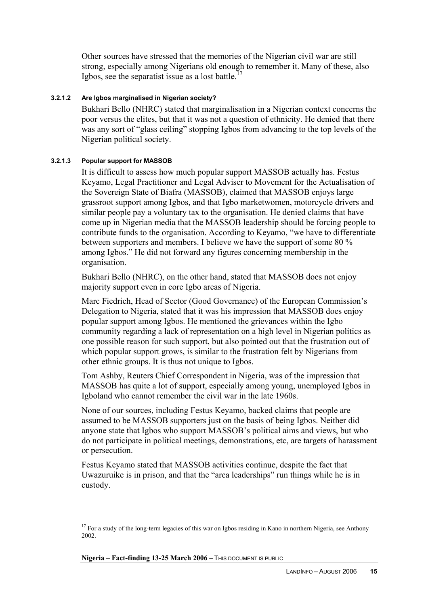Other sources have stressed that the memories of the Nigerian civil war are still strong, especially among Nigerians old enough to remember it. Many of these, also Igbos, see the separatist issue as a lost battle.<sup>17</sup>

#### **3.2.1.2 Are Igbos marginalised in Nigerian society?**

Bukhari Bello (NHRC) stated that marginalisation in a Nigerian context concerns the poor versus the elites, but that it was not a question of ethnicity. He denied that there was any sort of "glass ceiling" stopping Igbos from advancing to the top levels of the Nigerian political society.

#### **3.2.1.3 Popular support for MASSOB**

 $\overline{a}$ 

It is difficult to assess how much popular support MASSOB actually has. Festus Keyamo, Legal Practitioner and Legal Adviser to Movement for the Actualisation of the Sovereign State of Biafra (MASSOB), claimed that MASSOB enjoys large grassroot support among Igbos, and that Igbo marketwomen, motorcycle drivers and similar people pay a voluntary tax to the organisation. He denied claims that have come up in Nigerian media that the MASSOB leadership should be forcing people to contribute funds to the organisation. According to Keyamo, "we have to differentiate between supporters and members. I believe we have the support of some 80 % among Igbos." He did not forward any figures concerning membership in the organisation.

Bukhari Bello (NHRC), on the other hand, stated that MASSOB does not enjoy majority support even in core Igbo areas of Nigeria.

Marc Fiedrich, Head of Sector (Good Governance) of the European Commission's Delegation to Nigeria, stated that it was his impression that MASSOB does enjoy popular support among Igbos. He mentioned the grievances within the Igbo community regarding a lack of representation on a high level in Nigerian politics as one possible reason for such support, but also pointed out that the frustration out of which popular support grows, is similar to the frustration felt by Nigerians from other ethnic groups. It is thus not unique to Igbos.

Tom Ashby, Reuters Chief Correspondent in Nigeria, was of the impression that MASSOB has quite a lot of support, especially among young, unemployed Igbos in Igboland who cannot remember the civil war in the late 1960s.

None of our sources, including Festus Keyamo, backed claims that people are assumed to be MASSOB supporters just on the basis of being Igbos. Neither did anyone state that Igbos who support MASSOB's political aims and views, but who do not participate in political meetings, demonstrations, etc, are targets of harassment or persecution.

Festus Keyamo stated that MASSOB activities continue, despite the fact that Uwazuruike is in prison, and that the "area leaderships" run things while he is in custody.

<sup>&</sup>lt;sup>17</sup> For a study of the long-term legacies of this war on Igbos residing in Kano in northern Nigeria, see Anthony 2002.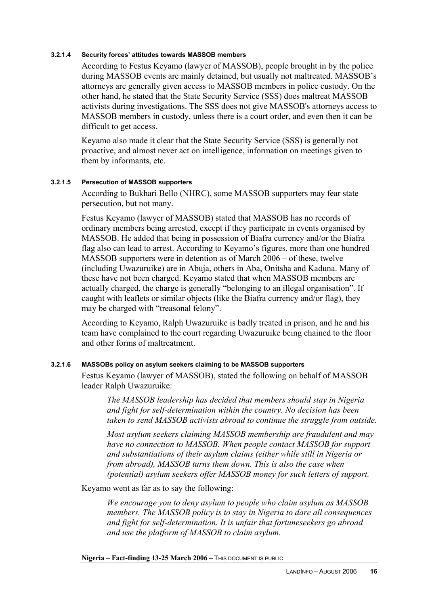#### **3.2.1.4 Security forces' attitudes towards MASSOB members**

According to Festus Keyamo (lawyer of MASSOB), people brought in by the police during MASSOB events are mainly detained, but usually not maltreated. MASSOB's attorneys are generally given access to MASSOB members in police custody. On the other hand, he stated that the State Security Service (SSS) does maltreat MASSOB activists during investigations. The SSS does not give MASSOB's attorneys access to MASSOB members in custody, unless there is a court order, and even then it can be difficult to get access.

Keyamo also made it clear that the State Security Service (SSS) is generally not proactive, and almost never act on intelligence, information on meetings given to them by informants, etc.

#### **3.2.1.5 Persecution of MASSOB supporters**

According to Bukhari Bello (NHRC), some MASSOB supporters may fear state persecution, but not many.

Festus Keyamo (lawyer of MASSOB) stated that MASSOB has no records of ordinary members being arrested, except if they participate in events organised by MASSOB. He added that being in possession of Biafra currency and/or the Biafra flag also can lead to arrest. According to Keyamo's figures, more than one hundred MASSOB supporters were in detention as of March 2006 – of these, twelve (including Uwazuruike) are in Abuja, others in Aba, Onitsha and Kaduna. Many of these have not been charged. Keyamo stated that when MASSOB members are actually charged, the charge is generally "belonging to an illegal organisation". If caught with leaflets or similar objects (like the Biafra currency and/or flag), they may be charged with "treasonal felony".

According to Keyamo, Ralph Uwazuruike is badly treated in prison, and he and his team have complained to the court regarding Uwazuruike being chained to the floor and other forms of maltreatment.

#### **3.2.1.6 MASSOBs policy on asylum seekers claiming to be MASSOB supporters**

Festus Keyamo (lawyer of MASSOB), stated the following on behalf of MASSOB leader Ralph Uwazuruike:

*The MASSOB leadership has decided that members should stay in Nigeria and fight for self-determination within the country. No decision has been taken to send MASSOB activists abroad to continue the struggle from outside.* 

*Most asylum seekers claiming MASSOB membership are fraudulent and may have no connection to MASSOB. When people contact MASSOB for support and substantiations of their asylum claims (either while still in Nigeria or from abroad), MASSOB turns them down. This is also the case when (potential) asylum seekers offer MASSOB money for such letters of support.* 

Keyamo went as far as to say the following:

*We encourage you to deny asylum to people who claim asylum as MASSOB members. The MASSOB policy is to stay in Nigeria to dare all consequences and fight for self-determination. It is unfair that fortuneseekers go abroad and use the platform of MASSOB to claim asylum.*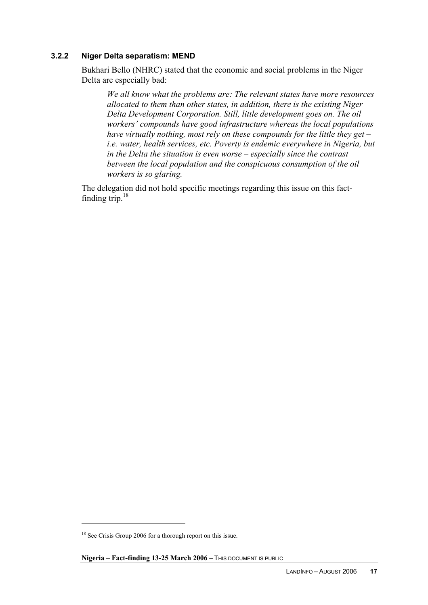#### **3.2.2 Niger Delta separatism: MEND**

Bukhari Bello (NHRC) stated that the economic and social problems in the Niger Delta are especially bad:

*We all know what the problems are: The relevant states have more resources allocated to them than other states, in addition, there is the existing Niger Delta Development Corporation. Still, little development goes on. The oil workers' compounds have good infrastructure whereas the local populations have virtually nothing, most rely on these compounds for the little they get – i.e. water, health services, etc. Poverty is endemic everywhere in Nigeria, but in the Delta the situation is even worse – especially since the contrast between the local population and the conspicuous consumption of the oil workers is so glaring.* 

The delegation did not hold specific meetings regarding this issue on this factfinding trip.18

<sup>&</sup>lt;sup>18</sup> See Crisis Group 2006 for a thorough report on this issue.

**Nigeria – Fact-finding 13-25 March 2006** – THIS DOCUMENT IS PUBLIC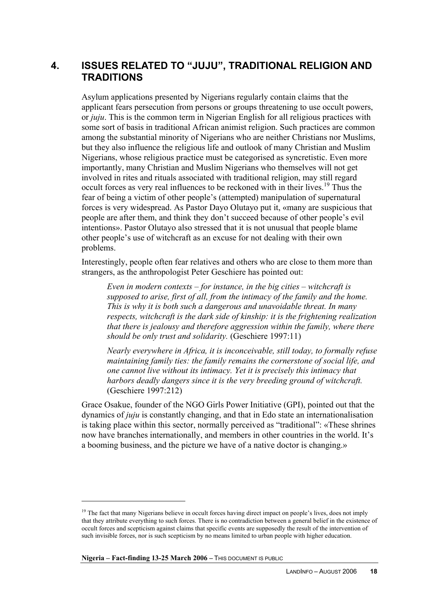## **4. ISSUES RELATED TO "JUJU", TRADITIONAL RELIGION AND TRADITIONS**

Asylum applications presented by Nigerians regularly contain claims that the applicant fears persecution from persons or groups threatening to use occult powers, or *juju*. This is the common term in Nigerian English for all religious practices with some sort of basis in traditional African animist religion. Such practices are common among the substantial minority of Nigerians who are neither Christians nor Muslims, but they also influence the religious life and outlook of many Christian and Muslim Nigerians, whose religious practice must be categorised as syncretistic. Even more importantly, many Christian and Muslim Nigerians who themselves will not get involved in rites and rituals associated with traditional religion, may still regard occult forces as very real influences to be reckoned with in their lives.<sup>19</sup> Thus the fear of being a victim of other people's (attempted) manipulation of supernatural forces is very widespread. As Pastor Dayo Olutayo put it, «many are suspicious that people are after them, and think they don't succeed because of other people's evil intentions». Pastor Olutayo also stressed that it is not unusual that people blame other people's use of witchcraft as an excuse for not dealing with their own problems.

Interestingly, people often fear relatives and others who are close to them more than strangers, as the anthropologist Peter Geschiere has pointed out:

*Even in modern contexts – for instance, in the big cities – witchcraft is supposed to arise, first of all, from the intimacy of the family and the home. This is why it is both such a dangerous and unavoidable threat. In many respects, witchcraft is the dark side of kinship: it is the frightening realization that there is jealousy and therefore aggression within the family, where there should be only trust and solidarity.* (Geschiere 1997:11)

*Nearly everywhere in Africa, it is inconceivable, still today, to formally refuse maintaining family ties: the family remains the cornerstone of social life, and one cannot live without its intimacy. Yet it is precisely this intimacy that harbors deadly dangers since it is the very breeding ground of witchcraft.* (Geschiere 1997:212)

Grace Osakue, founder of the NGO Girls Power Initiative (GPI), pointed out that the dynamics of *juju* is constantly changing, and that in Edo state an internationalisation is taking place within this sector, normally perceived as "traditional": «These shrines now have branches internationally, and members in other countries in the world. It's a booming business, and the picture we have of a native doctor is changing.»

<sup>&</sup>lt;sup>19</sup> The fact that many Nigerians believe in occult forces having direct impact on people's lives, does not imply that they attribute everything to such forces. There is no contradiction between a general belief in the existence of occult forces and scepticism against claims that specific events are supposedly the result of the intervention of such invisible forces, nor is such scepticism by no means limited to urban people with higher education.

**Nigeria – Fact-finding 13-25 March 2006** – THIS DOCUMENT IS PUBLIC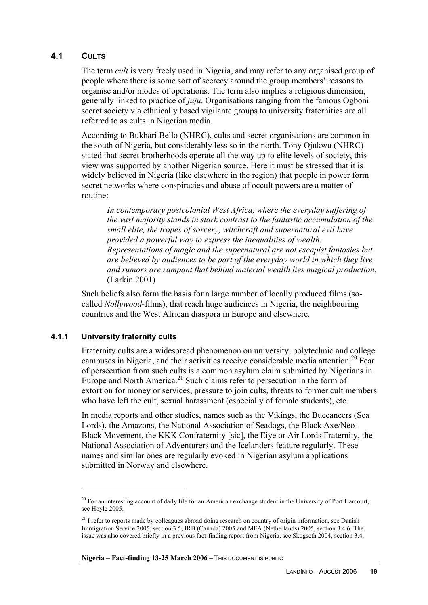### **4.1 CULTS**

The term *cult* is very freely used in Nigeria, and may refer to any organised group of people where there is some sort of secrecy around the group members' reasons to organise and/or modes of operations. The term also implies a religious dimension, generally linked to practice of *juju*. Organisations ranging from the famous Ogboni secret society via ethnically based vigilante groups to university fraternities are all referred to as cults in Nigerian media.

According to Bukhari Bello (NHRC), cults and secret organisations are common in the south of Nigeria, but considerably less so in the north. Tony Ojukwu (NHRC) stated that secret brotherhoods operate all the way up to elite levels of society, this view was supported by another Nigerian source. Here it must be stressed that it is widely believed in Nigeria (like elsewhere in the region) that people in power form secret networks where conspiracies and abuse of occult powers are a matter of routine:

*In contemporary postcolonial West Africa, where the everyday suffering of the vast majority stands in stark contrast to the fantastic accumulation of the small elite, the tropes of sorcery, witchcraft and supernatural evil have provided a powerful way to express the inequalities of wealth. Representations of magic and the supernatural are not escapist fantasies but are believed by audiences to be part of the everyday world in which they live and rumors are rampant that behind material wealth lies magical production.* (Larkin 2001)

Such beliefs also form the basis for a large number of locally produced films (socalled *Nollywood*-films), that reach huge audiences in Nigeria, the neighbouring countries and the West African diaspora in Europe and elsewhere.

### **4.1.1 University fraternity cults**

 $\overline{a}$ 

Fraternity cults are a widespread phenomenon on university, polytechnic and college campuses in Nigeria, and their activities receive considerable media attention.<sup>20</sup> Fear of persecution from such cults is a common asylum claim submitted by Nigerians in Europe and North America.<sup>21</sup> Such claims refer to persecution in the form of extortion for money or services, pressure to join cults, threats to former cult members who have left the cult, sexual harassment (especially of female students), etc.

In media reports and other studies, names such as the Vikings, the Buccaneers (Sea Lords), the Amazons, the National Association of Seadogs, the Black Axe/Neo-Black Movement, the KKK Confraternity [sic], the Eiye or Air Lords Fraternity, the National Association of Adventurers and the Icelanders feature regularly. These names and similar ones are regularly evoked in Nigerian asylum applications submitted in Norway and elsewhere.

 $^{20}$  For an interesting account of daily life for an American exchange student in the University of Port Harcourt, see Hoyle 2005.

<sup>&</sup>lt;sup>21</sup> I refer to reports made by colleagues abroad doing research on country of origin information, see Danish Immigration Service 2005, section 3.5; IRB (Canada) 2005 and MFA (Netherlands) 2005, section 3.4.6. The issue was also covered briefly in a previous fact-finding report from Nigeria, see Skogseth 2004, section 3.4.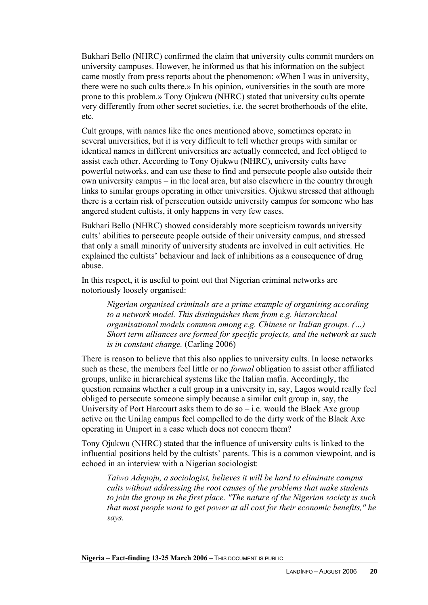Bukhari Bello (NHRC) confirmed the claim that university cults commit murders on university campuses. However, he informed us that his information on the subject came mostly from press reports about the phenomenon: «When I was in university, there were no such cults there.» In his opinion, «universities in the south are more prone to this problem.» Tony Ojukwu (NHRC) stated that university cults operate very differently from other secret societies, i.e. the secret brotherhoods of the elite, etc.

Cult groups, with names like the ones mentioned above, sometimes operate in several universities, but it is very difficult to tell whether groups with similar or identical names in different universities are actually connected, and feel obliged to assist each other. According to Tony Ojukwu (NHRC), university cults have powerful networks, and can use these to find and persecute people also outside their own university campus – in the local area, but also elsewhere in the country through links to similar groups operating in other universities. Ojukwu stressed that although there is a certain risk of persecution outside university campus for someone who has angered student cultists, it only happens in very few cases.

Bukhari Bello (NHRC) showed considerably more scepticism towards university cults' abilities to persecute people outside of their university campus, and stressed that only a small minority of university students are involved in cult activities. He explained the cultists' behaviour and lack of inhibitions as a consequence of drug abuse.

In this respect, it is useful to point out that Nigerian criminal networks are notoriously loosely organised:

*Nigerian organised criminals are a prime example of organising according to a network model. This distinguishes them from e.g. hierarchical organisational models common among e.g. Chinese or Italian groups. (…) Short term alliances are formed for specific projects, and the network as such is in constant change.* (Carling 2006)

There is reason to believe that this also applies to university cults. In loose networks such as these, the members feel little or no *formal* obligation to assist other affiliated groups, unlike in hierarchical systems like the Italian mafia. Accordingly, the question remains whether a cult group in a university in, say, Lagos would really feel obliged to persecute someone simply because a similar cult group in, say, the University of Port Harcourt asks them to do so  $-$  i.e. would the Black Axe group active on the Unilag campus feel compelled to do the dirty work of the Black Axe operating in Uniport in a case which does not concern them?

Tony Ojukwu (NHRC) stated that the influence of university cults is linked to the influential positions held by the cultists' parents. This is a common viewpoint, and is echoed in an interview with a Nigerian sociologist:

*Taiwo Adepoju, a sociologist, believes it will be hard to eliminate campus cults without addressing the root causes of the problems that make students to join the group in the first place. "The nature of the Nigerian society is such that most people want to get power at all cost for their economic benefits," he says.*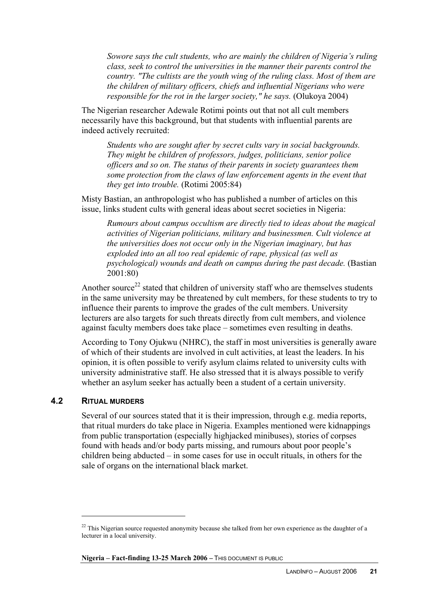*Sowore says the cult students, who are mainly the children of Nigeria's ruling class, seek to control the universities in the manner their parents control the country. "The cultists are the youth wing of the ruling class. Most of them are the children of military officers, chiefs and influential Nigerians who were responsible for the rot in the larger society," he says.* (Olukoya 2004)

The Nigerian researcher Adewale Rotimi points out that not all cult members necessarily have this background, but that students with influential parents are indeed actively recruited:

*Students who are sought after by secret cults vary in social backgrounds. They might be children of professors, judges, politicians, senior police officers and so on. The status of their parents in society guarantees them some protection from the claws of law enforcement agents in the event that they get into trouble.* (Rotimi 2005:84)

Misty Bastian, an anthropologist who has published a number of articles on this issue, links student cults with general ideas about secret societies in Nigeria:

*Rumours about campus occultism are directly tied to ideas about the magical activities of Nigerian politicians, military and businessmen. Cult violence at the universities does not occur only in the Nigerian imaginary, but has exploded into an all too real epidemic of rape, physical (as well as psychological) wounds and death on campus during the past decade.* (Bastian 2001:80)

Another source<sup>22</sup> stated that children of university staff who are themselves students in the same university may be threatened by cult members, for these students to try to influence their parents to improve the grades of the cult members. University lecturers are also targets for such threats directly from cult members, and violence against faculty members does take place – sometimes even resulting in deaths.

According to Tony Ojukwu (NHRC), the staff in most universities is generally aware of which of their students are involved in cult activities, at least the leaders. In his opinion, it is often possible to verify asylum claims related to university cults with university administrative staff. He also stressed that it is always possible to verify whether an asylum seeker has actually been a student of a certain university.

### **4.2 RITUAL MURDERS**

 $\overline{a}$ 

Several of our sources stated that it is their impression, through e.g. media reports, that ritual murders do take place in Nigeria. Examples mentioned were kidnappings from public transportation (especially highjacked minibuses), stories of corpses found with heads and/or body parts missing, and rumours about poor people's children being abducted – in some cases for use in occult rituals, in others for the sale of organs on the international black market.

 $22$  This Nigerian source requested anonymity because she talked from her own experience as the daughter of a lecturer in a local university.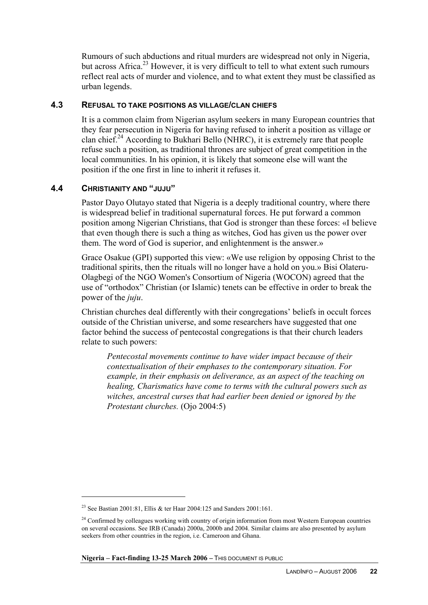Rumours of such abductions and ritual murders are widespread not only in Nigeria, but across Africa.<sup>23</sup> However, it is very difficult to tell to what extent such rumours reflect real acts of murder and violence, and to what extent they must be classified as urban legends.

#### **4.3 REFUSAL TO TAKE POSITIONS AS VILLAGE/CLAN CHIEFS**

It is a common claim from Nigerian asylum seekers in many European countries that they fear persecution in Nigeria for having refused to inherit a position as village or clan chief.<sup>24</sup> According to Bukhari Bello (NHRC), it is extremely rare that people refuse such a position, as traditional thrones are subject of great competition in the local communities. In his opinion, it is likely that someone else will want the position if the one first in line to inherit it refuses it.

### **4.4 CHRISTIANITY AND "JUJU"**

 $\overline{a}$ 

Pastor Dayo Olutayo stated that Nigeria is a deeply traditional country, where there is widespread belief in traditional supernatural forces. He put forward a common position among Nigerian Christians, that God is stronger than these forces: «I believe that even though there is such a thing as witches, God has given us the power over them. The word of God is superior, and enlightenment is the answer.»

Grace Osakue (GPI) supported this view: «We use religion by opposing Christ to the traditional spirits, then the rituals will no longer have a hold on you.» Bisi Olateru-Olagbegi of the NGO Women's Consortium of Nigeria (WOCON) agreed that the use of "orthodox" Christian (or Islamic) tenets can be effective in order to break the power of the *juju*.

Christian churches deal differently with their congregations' beliefs in occult forces outside of the Christian universe, and some researchers have suggested that one factor behind the success of pentecostal congregations is that their church leaders relate to such powers:

*Pentecostal movements continue to have wider impact because of their contextualisation of their emphases to the contemporary situation. For example, in their emphasis on deliverance, as an aspect of the teaching on healing, Charismatics have come to terms with the cultural powers such as witches, ancestral curses that had earlier been denied or ignored by the Protestant churches.* (Ojo 2004:5)

<sup>&</sup>lt;sup>23</sup> See Bastian 2001:81, Ellis & ter Haar 2004:125 and Sanders 2001:161.

<sup>&</sup>lt;sup>24</sup> Confirmed by colleagues working with country of origin information from most Western European countries on several occasions. See IRB (Canada) 2000a, 2000b and 2004. Similar claims are also presented by asylum seekers from other countries in the region, i.e. Cameroon and Ghana.

**Nigeria – Fact-finding 13-25 March 2006** – THIS DOCUMENT IS PUBLIC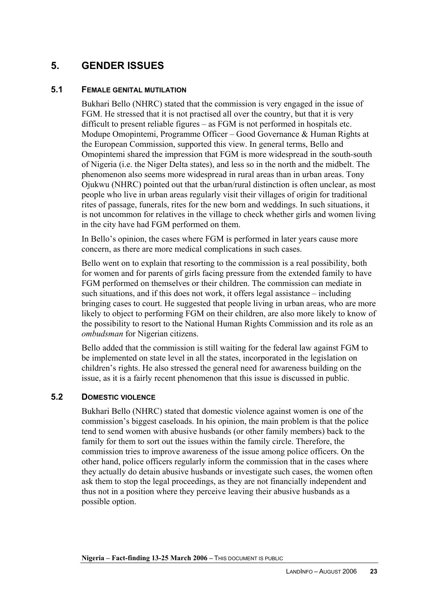# **5. GENDER ISSUES**

### **5.1 FEMALE GENITAL MUTILATION**

Bukhari Bello (NHRC) stated that the commission is very engaged in the issue of FGM. He stressed that it is not practised all over the country, but that it is very difficult to present reliable figures – as FGM is not performed in hospitals etc. Modupe Omopintemi, Programme Officer – Good Governance & Human Rights at the European Commission, supported this view. In general terms, Bello and Omopintemi shared the impression that FGM is more widespread in the south-south of Nigeria (i.e. the Niger Delta states), and less so in the north and the midbelt. The phenomenon also seems more widespread in rural areas than in urban areas. Tony Ojukwu (NHRC) pointed out that the urban/rural distinction is often unclear, as most people who live in urban areas regularly visit their villages of origin for traditional rites of passage, funerals, rites for the new born and weddings. In such situations, it is not uncommon for relatives in the village to check whether girls and women living in the city have had FGM performed on them.

In Bello's opinion, the cases where FGM is performed in later years cause more concern, as there are more medical complications in such cases.

Bello went on to explain that resorting to the commission is a real possibility, both for women and for parents of girls facing pressure from the extended family to have FGM performed on themselves or their children. The commission can mediate in such situations, and if this does not work, it offers legal assistance – including bringing cases to court. He suggested that people living in urban areas, who are more likely to object to performing FGM on their children, are also more likely to know of the possibility to resort to the National Human Rights Commission and its role as an *ombudsman* for Nigerian citizens.

Bello added that the commission is still waiting for the federal law against FGM to be implemented on state level in all the states, incorporated in the legislation on children's rights. He also stressed the general need for awareness building on the issue, as it is a fairly recent phenomenon that this issue is discussed in public.

### **5.2 DOMESTIC VIOLENCE**

Bukhari Bello (NHRC) stated that domestic violence against women is one of the commission's biggest caseloads. In his opinion, the main problem is that the police tend to send women with abusive husbands (or other family members) back to the family for them to sort out the issues within the family circle. Therefore, the commission tries to improve awareness of the issue among police officers. On the other hand, police officers regularly inform the commission that in the cases where they actually do detain abusive husbands or investigate such cases, the women often ask them to stop the legal proceedings, as they are not financially independent and thus not in a position where they perceive leaving their abusive husbands as a possible option.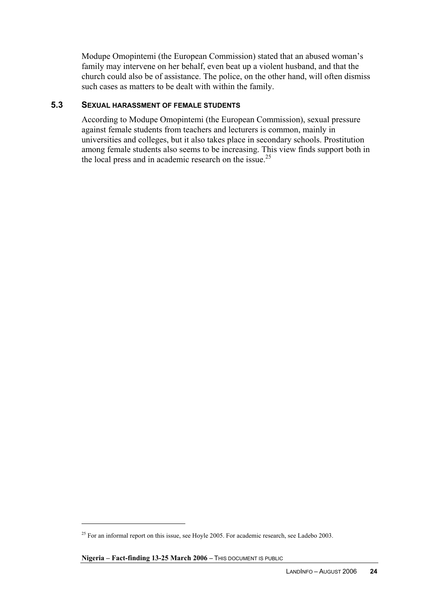Modupe Omopintemi (the European Commission) stated that an abused woman's family may intervene on her behalf, even beat up a violent husband, and that the church could also be of assistance. The police, on the other hand, will often dismiss such cases as matters to be dealt with within the family.

#### **5.3 SEXUAL HARASSMENT OF FEMALE STUDENTS**

According to Modupe Omopintemi (the European Commission), sexual pressure against female students from teachers and lecturers is common, mainly in universities and colleges, but it also takes place in secondary schools. Prostitution among female students also seems to be increasing. This view finds support both in the local press and in academic research on the issue.<sup>25</sup>

Nigeria – Fact-finding 13-25 March 2006 – THIS DOCUMENT IS PUBLIC

 $25$  For an informal report on this issue, see Hoyle 2005. For academic research, see Ladebo 2003.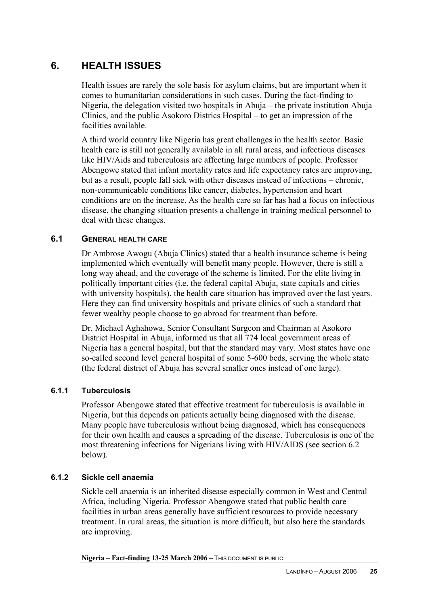## **6. HEALTH ISSUES**

Health issues are rarely the sole basis for asylum claims, but are important when it comes to humanitarian considerations in such cases. During the fact-finding to Nigeria, the delegation visited two hospitals in Abuja – the private institution Abuja Clinics, and the public Asokoro Districs Hospital – to get an impression of the facilities available.

A third world country like Nigeria has great challenges in the health sector. Basic health care is still not generally available in all rural areas, and infectious diseases like HIV/Aids and tuberculosis are affecting large numbers of people. Professor Abengowe stated that infant mortality rates and life expectancy rates are improving, but as a result, people fall sick with other diseases instead of infections – chronic, non-communicable conditions like cancer, diabetes, hypertension and heart conditions are on the increase. As the health care so far has had a focus on infectious disease, the changing situation presents a challenge in training medical personnel to deal with these changes.

### **6.1 GENERAL HEALTH CARE**

Dr Ambrose Awogu (Abuja Clinics) stated that a health insurance scheme is being implemented which eventually will benefit many people. However, there is still a long way ahead, and the coverage of the scheme is limited. For the elite living in politically important cities (i.e. the federal capital Abuja, state capitals and cities with university hospitals), the health care situation has improved over the last years. Here they can find university hospitals and private clinics of such a standard that fewer wealthy people choose to go abroad for treatment than before.

Dr. Michael Aghahowa, Senior Consultant Surgeon and Chairman at Asokoro District Hospital in Abuja, informed us that all 774 local government areas of Nigeria has a general hospital, but that the standard may vary. Most states have one so-called second level general hospital of some 5-600 beds, serving the whole state (the federal district of Abuja has several smaller ones instead of one large).

#### **6.1.1 Tuberculosis**

Professor Abengowe stated that effective treatment for tuberculosis is available in Nigeria, but this depends on patients actually being diagnosed with the disease. Many people have tuberculosis without being diagnosed, which has consequences for their own health and causes a spreading of the disease. Tuberculosis is one of the most threatening infections for Nigerians living with HIV/AIDS (see section 6.2 below).

### **6.1.2 Sickle cell anaemia**

Sickle cell anaemia is an inherited disease especially common in West and Central Africa, including Nigeria. Professor Abengowe stated that public health care facilities in urban areas generally have sufficient resources to provide necessary treatment. In rural areas, the situation is more difficult, but also here the standards are improving.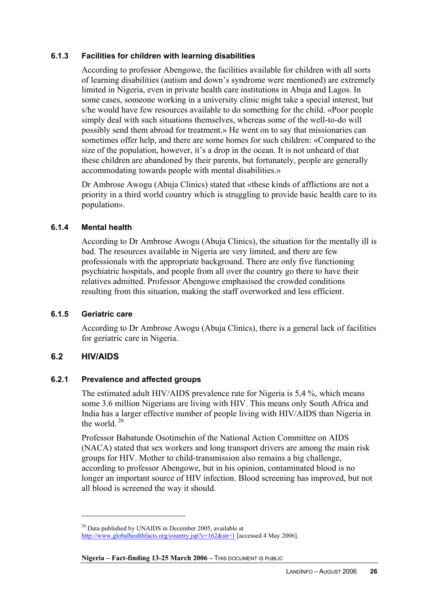#### **6.1.3 Facilities for children with learning disabilities**

According to professor Abengowe, the facilities available for children with all sorts of learning disabilities (autism and down's syndrome were mentioned) are extremely limited in Nigeria, even in private health care institutions in Abuja and Lagos. In some cases, someone working in a university clinic might take a special interest, but s/he would have few resources available to do something for the child. «Poor people simply deal with such situations themselves, whereas some of the well-to-do will possibly send them abroad for treatment.» He went on to say that missionaries can sometimes offer help, and there are some homes for such children: «Compared to the size of the population, however, it's a drop in the ocean. It is not unheard of that these children are abandoned by their parents, but fortunately, people are generally accommodating towards people with mental disabilities.»

Dr Ambrose Awogu (Abuja Clinics) stated that «these kinds of afflictions are not a priority in a third world country which is struggling to provide basic health care to its population».

### **6.1.4 Mental health**

According to Dr Ambrose Awogu (Abuja Clinics), the situation for the mentally ill is bad. The resources available in Nigeria are very limited, and there are few professionals with the appropriate background. There are only five functioning psychiatric hospitals, and people from all over the country go there to have their relatives admitted. Professor Abengowe emphasised the crowded conditions resulting from this situation, making the staff overworked and less efficient.

#### **6.1.5 Geriatric care**

According to Dr Ambrose Awogu (Abuja Clinics), there is a general lack of facilities for geriatric care in Nigeria.

### **6.2 HIV/AIDS**

 $\overline{a}$ 

### **6.2.1 Prevalence and affected groups**

The estimated adult HIV/AIDS prevalence rate for Nigeria is 5,4 %, which means some 3.6 million Nigerians are living with HIV. This means only South Africa and India has a larger effective number of people living with HIV/AIDS than Nigeria in the world.  $26$ 

Professor Babatunde Osotimehin of the National Action Committee on AIDS (NACA) stated that sex workers and long transport drivers are among the main risk groups for HIV. Mother to child-transmission also remains a big challenge, according to professor Abengowe, but in his opinion, contaminated blood is no longer an important source of HIV infection. Blood screening has improved, but not all blood is screened the way it should.

<sup>26</sup> Data published by UNAIDS in December 2005, available at http://www.globalhealthfacts.org/country.jsp?c=162&sn=1 [accessed 4 May 2006].

**Nigeria – Fact-finding 13-25 March 2006** – THIS DOCUMENT IS PUBLIC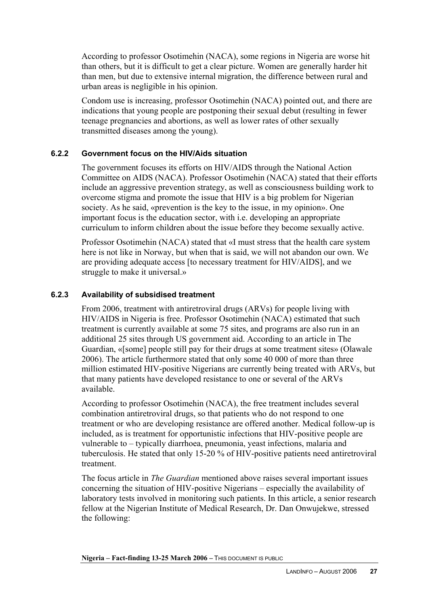According to professor Osotimehin (NACA), some regions in Nigeria are worse hit than others, but it is difficult to get a clear picture. Women are generally harder hit than men, but due to extensive internal migration, the difference between rural and urban areas is negligible in his opinion.

Condom use is increasing, professor Osotimehin (NACA) pointed out, and there are indications that young people are postponing their sexual debut (resulting in fewer teenage pregnancies and abortions, as well as lower rates of other sexually transmitted diseases among the young).

### **6.2.2 Government focus on the HIV/Aids situation**

The government focuses its efforts on HIV/AIDS through the National Action Committee on AIDS (NACA). Professor Osotimehin (NACA) stated that their efforts include an aggressive prevention strategy, as well as consciousness building work to overcome stigma and promote the issue that HIV is a big problem for Nigerian society. As he said, «prevention is the key to the issue, in my opinion». One important focus is the education sector, with i.e. developing an appropriate curriculum to inform children about the issue before they become sexually active.

Professor Osotimehin (NACA) stated that «I must stress that the health care system here is not like in Norway, but when that is said, we will not abandon our own. We are providing adequate access [to necessary treatment for HIV/AIDS], and we struggle to make it universal.»

## **6.2.3 Availability of subsidised treatment**

From 2006, treatment with antiretroviral drugs (ARVs) for people living with HIV/AIDS in Nigeria is free. Professor Osotimehin (NACA) estimated that such treatment is currently available at some 75 sites, and programs are also run in an additional 25 sites through US government aid. According to an article in The Guardian, «[some] people still pay for their drugs at some treatment sites» (Olawale 2006). The article furthermore stated that only some 40 000 of more than three million estimated HIV-positive Nigerians are currently being treated with ARVs, but that many patients have developed resistance to one or several of the ARVs available.

According to professor Osotimehin (NACA), the free treatment includes several combination antiretroviral drugs, so that patients who do not respond to one treatment or who are developing resistance are offered another. Medical follow-up is included, as is treatment for opportunistic infections that HIV-positive people are vulnerable to – typically diarrhoea, pneumonia, yeast infections, malaria and tuberculosis. He stated that only 15-20 % of HIV-positive patients need antiretroviral treatment.

The focus article in *The Guardian* mentioned above raises several important issues concerning the situation of HIV-positive Nigerians – especially the availability of laboratory tests involved in monitoring such patients. In this article, a senior research fellow at the Nigerian Institute of Medical Research, Dr. Dan Onwujekwe, stressed the following: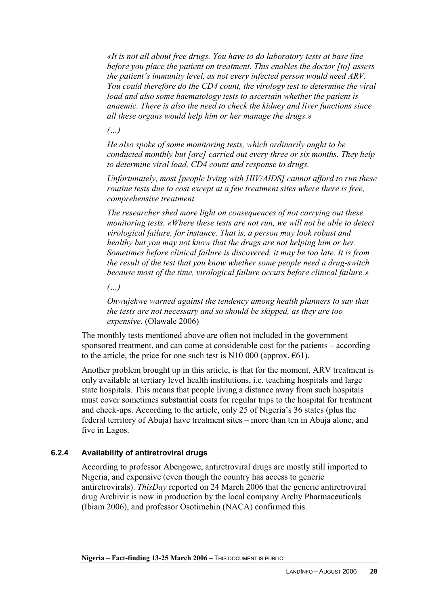*«It is not all about free drugs. You have to do laboratory tests at base line before you place the patient on treatment. This enables the doctor [to] assess the patient's immunity level, as not every infected person would need ARV. You could therefore do the CD4 count, the virology test to determine the viral load and also some haematology tests to ascertain whether the patient is anaemic. There is also the need to check the kidney and liver functions since all these organs would help him or her manage the drugs.»* 

*(…)* 

*He also spoke of some monitoring tests, which ordinarily ought to be conducted monthly but [are] carried out every three or six months. They help to determine viral load, CD4 count and response to drugs.* 

*Unfortunately, most [people living with HIV/AIDS] cannot afford to run these routine tests due to cost except at a few treatment sites where there is free, comprehensive treatment.* 

*The researcher shed more light on consequences of not carrying out these monitoring tests. «Where these tests are not run, we will not be able to detect virological failure, for instance. That is, a person may look robust and healthy but you may not know that the drugs are not helping him or her. Sometimes before clinical failure is discovered, it may be too late. It is from the result of the test that you know whether some people need a drug-switch because most of the time, virological failure occurs before clinical failure.»* 

*(…)* 

*Onwujekwe warned against the tendency among health planners to say that the tests are not necessary and so should be skipped, as they are too expensive.* (Olawale 2006)

The monthly tests mentioned above are often not included in the government sponsored treatment, and can come at considerable cost for the patients – according to the article, the price for one such test is N10 000 (approx.  $\epsilon$ 61).

Another problem brought up in this article, is that for the moment, ARV treatment is only available at tertiary level health institutions, i.e. teaching hospitals and large state hospitals. This means that people living a distance away from such hospitals must cover sometimes substantial costs for regular trips to the hospital for treatment and check-ups. According to the article, only 25 of Nigeria's 36 states (plus the federal territory of Abuja) have treatment sites – more than ten in Abuja alone, and five in Lagos.

## **6.2.4 Availability of antiretroviral drugs**

According to professor Abengowe, antiretroviral drugs are mostly still imported to Nigeria, and expensive (even though the country has access to generic antiretrovirals). *ThisDay* reported on 24 March 2006 that the generic antiretroviral drug Archivir is now in production by the local company Archy Pharmaceuticals (Ibiam 2006), and professor Osotimehin (NACA) confirmed this.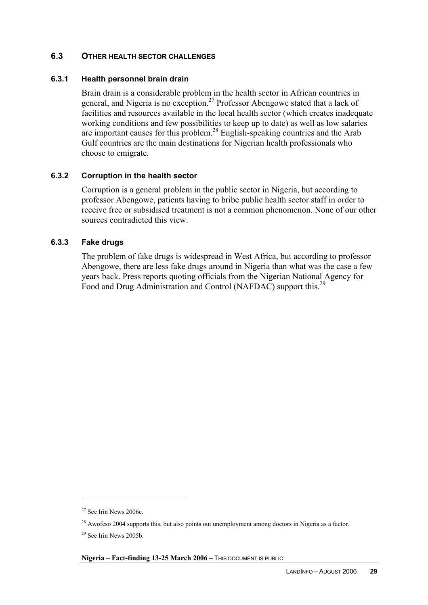### **6.3 OTHER HEALTH SECTOR CHALLENGES**

#### **6.3.1 Health personnel brain drain**

Brain drain is a considerable problem in the health sector in African countries in general, and Nigeria is no exception.<sup>27</sup> Professor Abengowe stated that a lack of facilities and resources available in the local health sector (which creates inadequate working conditions and few possibilities to keep up to date) as well as low salaries are important causes for this problem.28 English-speaking countries and the Arab Gulf countries are the main destinations for Nigerian health professionals who choose to emigrate.

#### **6.3.2 Corruption in the health sector**

Corruption is a general problem in the public sector in Nigeria, but according to professor Abengowe, patients having to bribe public health sector staff in order to receive free or subsidised treatment is not a common phenomenon. None of our other sources contradicted this view.

#### **6.3.3 Fake drugs**

The problem of fake drugs is widespread in West Africa, but according to professor Abengowe, there are less fake drugs around in Nigeria than what was the case a few years back. Press reports quoting officials from the Nigerian National Agency for Food and Drug Administration and Control (NAFDAC) support this.<sup>29</sup>

 $27$  See Irin News 2006c.

<sup>&</sup>lt;sup>28</sup> Awofeso 2004 supports this, but also points out unemployment among doctors in Nigeria as a factor.

 $29$  See Irin News 2005b.

**Nigeria – Fact-finding 13-25 March 2006** – THIS DOCUMENT IS PUBLIC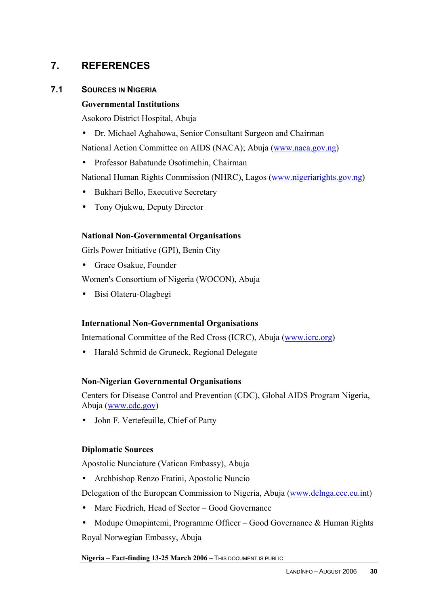# **7. REFERENCES**

## **7.1 SOURCES IN NIGERIA**

### **Governmental Institutions**

Asokoro District Hospital, Abuja

- Dr. Michael Aghahowa, Senior Consultant Surgeon and Chairman
- National Action Committee on AIDS (NACA); Abuja (www.naca.gov.ng)
- Professor Babatunde Osotimehin, Chairman

National Human Rights Commission (NHRC), Lagos (www.nigeriarights.gov.ng)

- Bukhari Bello, Executive Secretary
- Tony Ojukwu, Deputy Director

## **National Non-Governmental Organisations**

Girls Power Initiative (GPI), Benin City

• Grace Osakue, Founder

Women's Consortium of Nigeria (WOCON), Abuja

• Bisi Olateru-Olagbegi

## **International Non-Governmental Organisations**

International Committee of the Red Cross (ICRC), Abuja (www.icrc.org)

• Harald Schmid de Gruneck, Regional Delegate

### **Non-Nigerian Governmental Organisations**

Centers for Disease Control and Prevention (CDC), Global AIDS Program Nigeria, Abuja (www.cdc.gov)

• John F. Vertefeuille, Chief of Party

### **Diplomatic Sources**

Apostolic Nunciature (Vatican Embassy), Abuja

• Archbishop Renzo Fratini, Apostolic Nuncio

Delegation of the European Commission to Nigeria, Abuja (www.delnga.cec.eu.int)

- Marc Fiedrich, Head of Sector Good Governance
- Modupe Omopintemi, Programme Officer Good Governance & Human Rights Royal Norwegian Embassy, Abuja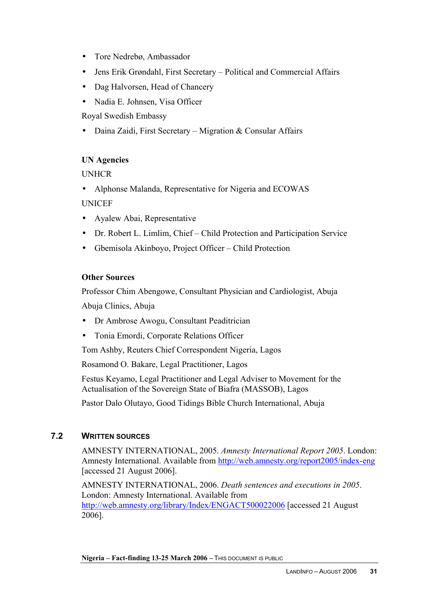- Tore Nedrebø, Ambassador
- Jens Erik Grøndahl, First Secretary Political and Commercial Affairs
- Dag Halvorsen, Head of Chancery
- Nadia E. Johnsen, Visa Officer

Royal Swedish Embassy

• Daina Zaidi, First Secretary – Migration & Consular Affairs

## **UN Agencies**

UNHCR

- Alphonse Malanda, Representative for Nigeria and ECOWAS **UNICEF**
- Ayalew Abai, Representative
- Dr. Robert L. Limlim, Chief Child Protection and Participation Service
- Gbemisola Akinboyo, Project Officer Child Protection

## **Other Sources**

Professor Chim Abengowe, Consultant Physician and Cardiologist, Abuja

Abuja Clinics, Abuja

- Dr Ambrose Awogu, Consultant Peaditrician
- Tonia Emordi, Corporate Relations Officer

Tom Ashby, Reuters Chief Correspondent Nigeria, Lagos

Rosamond O. Bakare, Legal Practitioner, Lagos

Festus Keyamo, Legal Practitioner and Legal Adviser to Movement for the Actualisation of the Sovereign State of Biafra (MASSOB), Lagos

Pastor Dalo Olutayo, Good Tidings Bible Church International, Abuja

## **7.2 WRITTEN SOURCES**

AMNESTY INTERNATIONAL, 2005. *Amnesty International Report 2005*. London: Amnesty International. Available from http://web.amnesty.org/report2005/index-eng [accessed 21 August 2006].

AMNESTY INTERNATIONAL, 2006. *Death sentences and executions in 2005*. London: Amnesty International. Available from http://web.amnesty.org/library/Index/ENGACT500022006 [accessed 21 August 2006].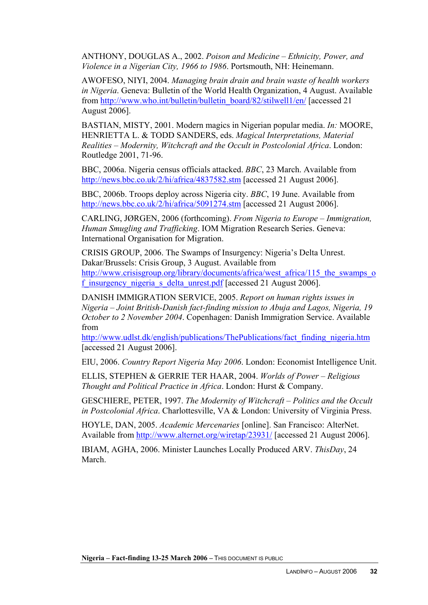ANTHONY, DOUGLAS A., 2002. *Poison and Medicine – Ethnicity, Power, and Violence in a Nigerian City, 1966 to 1986*. Portsmouth, NH: Heinemann.

AWOFESO, NIYI, 2004. *Managing brain drain and brain waste of health workers in Nigeria*. Geneva: Bulletin of the World Health Organization, 4 August. Available from http://www.who.int/bulletin/bulletin\_board/82/stilwell1/en/ [accessed 21 August 2006].

BASTIAN, MISTY, 2001. Modern magics in Nigerian popular media. *In:* MOORE, HENRIETTA L. & TODD SANDERS, eds. *Magical Interpretations, Material Realities – Modernity, Witchcraft and the Occult in Postcolonial Africa*. London: Routledge 2001, 71-96.

BBC, 2006a. Nigeria census officials attacked. *BBC*, 23 March. Available from http://news.bbc.co.uk/2/hi/africa/4837582.stm [accessed 21 August 2006].

BBC, 2006b. Troops deploy across Nigeria city. *BBC*, 19 June. Available from http://news.bbc.co.uk/2/hi/africa/5091274.stm [accessed 21 August 2006].

CARLING, JØRGEN, 2006 (forthcoming). *From Nigeria to Europe – Immigration, Human Smugling and Trafficking*. IOM Migration Research Series. Geneva: International Organisation for Migration.

CRISIS GROUP, 2006. The Swamps of Insurgency: Nigeria's Delta Unrest. Dakar/Brussels: Crisis Group, 3 August. Available from

http://www.crisisgroup.org/library/documents/africa/west\_africa/115\_the\_swamps\_o f insurgency nigeria s delta unrest.pdf [accessed 21 August 2006].

DANISH IMMIGRATION SERVICE, 2005. *Report on human rights issues in Nigeria – Joint British-Danish fact-finding mission to Abuja and Lagos, Nigeria, 19 October to 2 November 2004*. Copenhagen: Danish Immigration Service. Available from

http://www.udlst.dk/english/publications/ThePublications/fact\_finding\_nigeria.htm [accessed 21 August 2006].

EIU, 2006. *Country Report Nigeria May 2006*. London: Economist Intelligence Unit.

ELLIS, STEPHEN & GERRIE TER HAAR, 2004. *Worlds of Power – Religious Thought and Political Practice in Africa*. London: Hurst & Company.

GESCHIERE, PETER, 1997. *The Modernity of Witchcraft – Politics and the Occult in Postcolonial Africa*. Charlottesville, VA & London: University of Virginia Press.

HOYLE, DAN, 2005. *Academic Mercenaries* [online]. San Francisco: AlterNet. Available from http://www.alternet.org/wiretap/23931/ [accessed 21 August 2006].

IBIAM, AGHA, 2006. Minister Launches Locally Produced ARV. *ThisDay*, 24 March.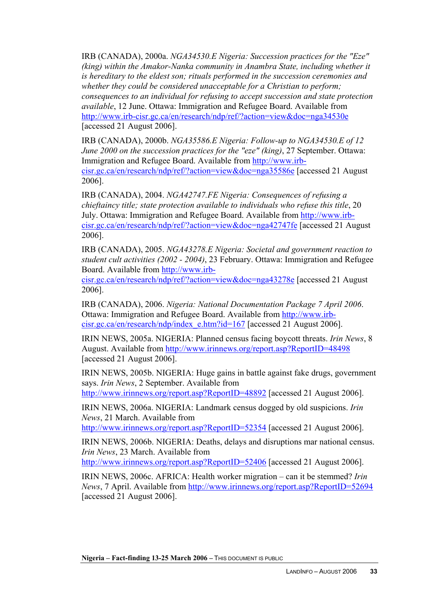IRB (CANADA), 2000a. *NGA34530.E Nigeria: Succession practices for the "Eze" (king) within the Amakor-Nanka community in Anambra State, including whether it is hereditary to the eldest son; rituals performed in the succession ceremonies and whether they could be considered unacceptable for a Christian to perform; consequences to an individual for refusing to accept succession and state protection available*, 12 June. Ottawa: Immigration and Refugee Board. Available from http://www.irb-cisr.gc.ca/en/research/ndp/ref/?action=view&doc=nga34530e [accessed 21 August 2006].

IRB (CANADA), 2000b. *NGA35586.E Nigeria: Follow-up to NGA34530.E of 12 June 2000 on the succession practices for the "eze" (king)*, 27 September. Ottawa: Immigration and Refugee Board. Available from http://www.irbcisr.gc.ca/en/research/ndp/ref/?action=view&doc=nga35586e [accessed 21 August 2006].

IRB (CANADA), 2004. *NGA42747.FE Nigeria: Consequences of refusing a chieftaincy title; state protection available to individuals who refuse this title*, 20 July. Ottawa: Immigration and Refugee Board. Available from http://www.irbcisr.gc.ca/en/research/ndp/ref/?action=view&doc=nga42747fe [accessed 21 August 2006].

IRB (CANADA), 2005. *NGA43278.E Nigeria: Societal and government reaction to student cult activities (2002 - 2004)*, 23 February. Ottawa: Immigration and Refugee Board. Available from http://www.irb-

cisr.gc.ca/en/research/ndp/ref/?action=view&doc=nga43278e [accessed 21 August 2006].

IRB (CANADA), 2006. *Nigeria: National Documentation Package 7 April 2006*. Ottawa: Immigration and Refugee Board. Available from http://www.irbcisr.gc.ca/en/research/ndp/index\_e.htm?id=167 [accessed 21 August 2006].

IRIN NEWS, 2005a. NIGERIA: Planned census facing boycott threats. *Irin News*, 8 August. Available from http://www.irinnews.org/report.asp?ReportID=48498 [accessed 21 August 2006].

IRIN NEWS, 2005b. NIGERIA: Huge gains in battle against fake drugs, government says. *Irin News*, 2 September. Available from http://www.irinnews.org/report.asp?ReportID=48892 [accessed 21 August 2006].

IRIN NEWS, 2006a. NIGERIA: Landmark census dogged by old suspicions. *Irin News*, 21 March. Available from

http://www.irinnews.org/report.asp?ReportID=52354 [accessed 21 August 2006].

IRIN NEWS, 2006b. NIGERIA: Deaths, delays and disruptions mar national census. *Irin News*, 23 March. Available from

http://www.irinnews.org/report.asp?ReportID=52406 [accessed 21 August 2006].

IRIN NEWS, 2006c. AFRICA: Health worker migration – can it be stemmed? *Irin News*, 7 April. Available from http://www.irinnews.org/report.asp?ReportID=52694 [accessed 21 August 2006].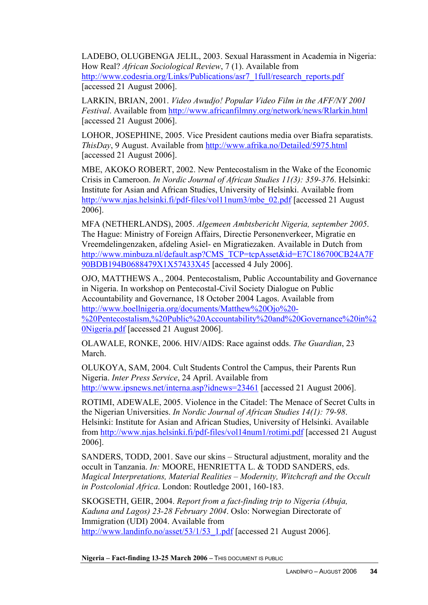LADEBO, OLUGBENGA JELIL, 2003. Sexual Harassment in Academia in Nigeria: How Real? *African Sociological Review*, 7 (1). Available from http://www.codesria.org/Links/Publications/asr7\_1full/research\_reports.pdf [accessed 21 August 2006].

LARKIN, BRIAN, 2001. *Video Awudjo! Popular Video Film in the AFF/NY 2001 Festival*. Available from http://www.africanfilmny.org/network/news/Rlarkin.html [accessed 21 August 2006].

LOHOR, JOSEPHINE, 2005. Vice President cautions media over Biafra separatists. *ThisDay*, 9 August. Available from http://www.afrika.no/Detailed/5975.html [accessed 21 August 2006].

MBE, AKOKO ROBERT, 2002. New Pentecostalism in the Wake of the Economic Crisis in Cameroon. *In Nordic Journal of African Studies 11(3): 359-376*. Helsinki: Institute for Asian and African Studies, University of Helsinki. Available from http://www.njas.helsinki.fi/pdf-files/vol11num3/mbe\_02.pdf [accessed 21 August] 2006].

MFA (NETHERLANDS), 2005. *Algemeen Ambtsbericht Nigeria, september 2005*. The Hague: Ministry of Foreign Affairs, Directie Personenverkeer, Migratie en Vreemdelingenzaken, afdeling Asiel- en Migratiezaken. Available in Dutch from http://www.minbuza.nl/default.asp?CMS\_TCP=tcpAsset&id=E7C186700CB24A7F 90BDB194B0688479X1X57433X45 [accessed 4 July 2006].

OJO, MATTHEWS A., 2004. Pentecostalism, Public Accountability and Governance in Nigeria. In workshop on Pentecostal-Civil Society Dialogue on Public Accountability and Governance, 18 October 2004 Lagos. Available from http://www.boellnigeria.org/documents/Matthew%20Ojo%20- %20Pentecostalism,%20Public%20Accountability%20and%20Governance%20in%2 0Nigeria.pdf [accessed 21 August 2006].

OLAWALE, RONKE, 2006. HIV/AIDS: Race against odds. *The Guardian*, 23 March.

OLUKOYA, SAM, 2004. Cult Students Control the Campus, their Parents Run Nigeria. *Inter Press Service*, 24 April. Available from http://www.ipsnews.net/interna.asp?idnews=23461 [accessed 21 August 2006].

ROTIMI, ADEWALE, 2005. Violence in the Citadel: The Menace of Secret Cults in the Nigerian Universities. *In Nordic Journal of African Studies 14(1): 79-98*. Helsinki: Institute for Asian and African Studies, University of Helsinki. Available from http://www.njas.helsinki.fi/pdf-files/vol14num1/rotimi.pdf [accessed 21 August 2006].

SANDERS, TODD, 2001. Save our skins – Structural adjustment, morality and the occult in Tanzania. *In:* MOORE, HENRIETTA L. & TODD SANDERS, eds. *Magical Interpretations, Material Realities – Modernity, Witchcraft and the Occult in Postcolonial Africa*. London: Routledge 2001, 160-183.

SKOGSETH, GEIR, 2004. *Report from a fact-finding trip to Nigeria (Abuja, Kaduna and Lagos) 23-28 February 2004*. Oslo: Norwegian Directorate of Immigration (UDI) 2004. Available from http://www.landinfo.no/asset/53/1/53\_1.pdf [accessed 21 August 2006].